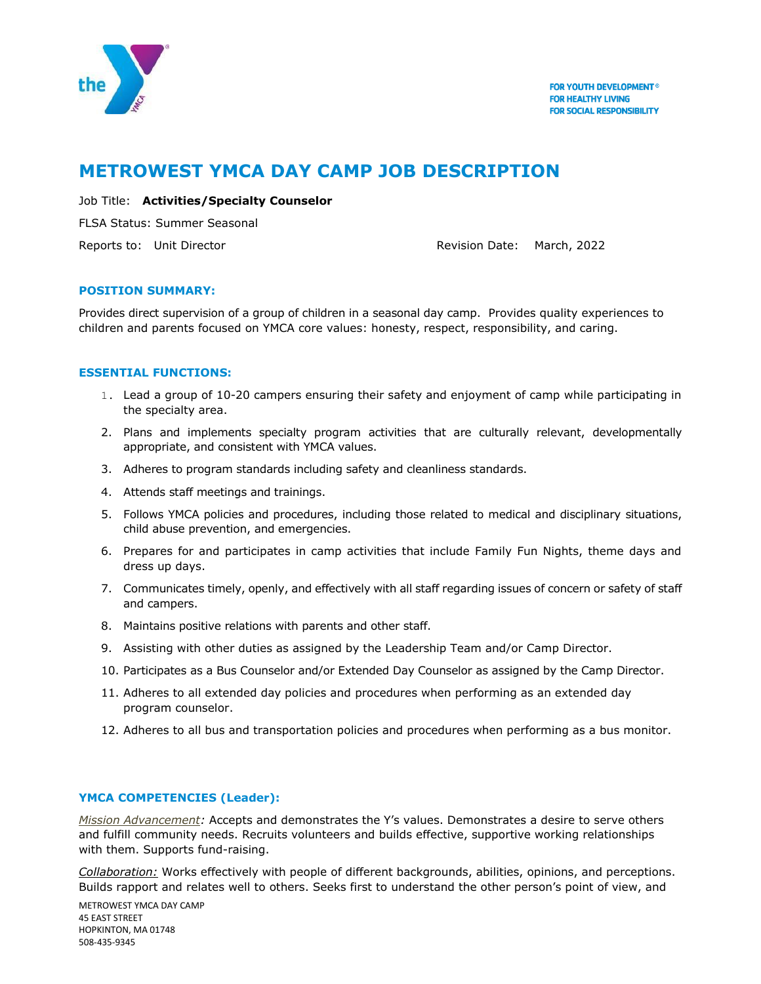

# **METROWEST YMCA DAY CAMP JOB DESCRIPTION**

# Job Title: **Activities/Specialty Counselor**

FLSA Status: Summer Seasonal

Reports to: Unit Director **Reports to: Unit Director** Revision Date: March, 2022

## **POSITION SUMMARY:**

Provides direct supervision of a group of children in a seasonal day camp. Provides quality experiences to children and parents focused on YMCA core values: honesty, respect, responsibility, and caring.

# **ESSENTIAL FUNCTIONS:**

- 1. Lead a group of 10-20 campers ensuring their safety and enjoyment of camp while participating in the specialty area.
- 2. Plans and implements specialty program activities that are culturally relevant, developmentally appropriate, and consistent with YMCA values.
- 3. Adheres to program standards including safety and cleanliness standards.
- 4. Attends staff meetings and trainings.
- 5. Follows YMCA policies and procedures, including those related to medical and disciplinary situations, child abuse prevention, and emergencies.
- 6. Prepares for and participates in camp activities that include Family Fun Nights, theme days and dress up days.
- 7. Communicates timely, openly, and effectively with all staff regarding issues of concern or safety of staff and campers.
- 8. Maintains positive relations with parents and other staff.
- 9. Assisting with other duties as assigned by the Leadership Team and/or Camp Director.
- 10. Participates as a Bus Counselor and/or Extended Day Counselor as assigned by the Camp Director.
- 11. Adheres to all extended day policies and procedures when performing as an extended day program counselor.
- 12. Adheres to all bus and transportation policies and procedures when performing as a bus monitor.

## **YMCA COMPETENCIES (Leader):**

*Mission Advancement:* Accepts and demonstrates the Y's values. Demonstrates a desire to serve others and fulfill community needs. Recruits volunteers and builds effective, supportive working relationships with them. Supports fund-raising.

*Collaboration:* Works effectively with people of different backgrounds, abilities, opinions, and perceptions. Builds rapport and relates well to others. Seeks first to understand the other person's point of view, and

METROWEST YMCA DAY CAMP 45 EAST STREET HOPKINTON, MA 01748 508-435-9345